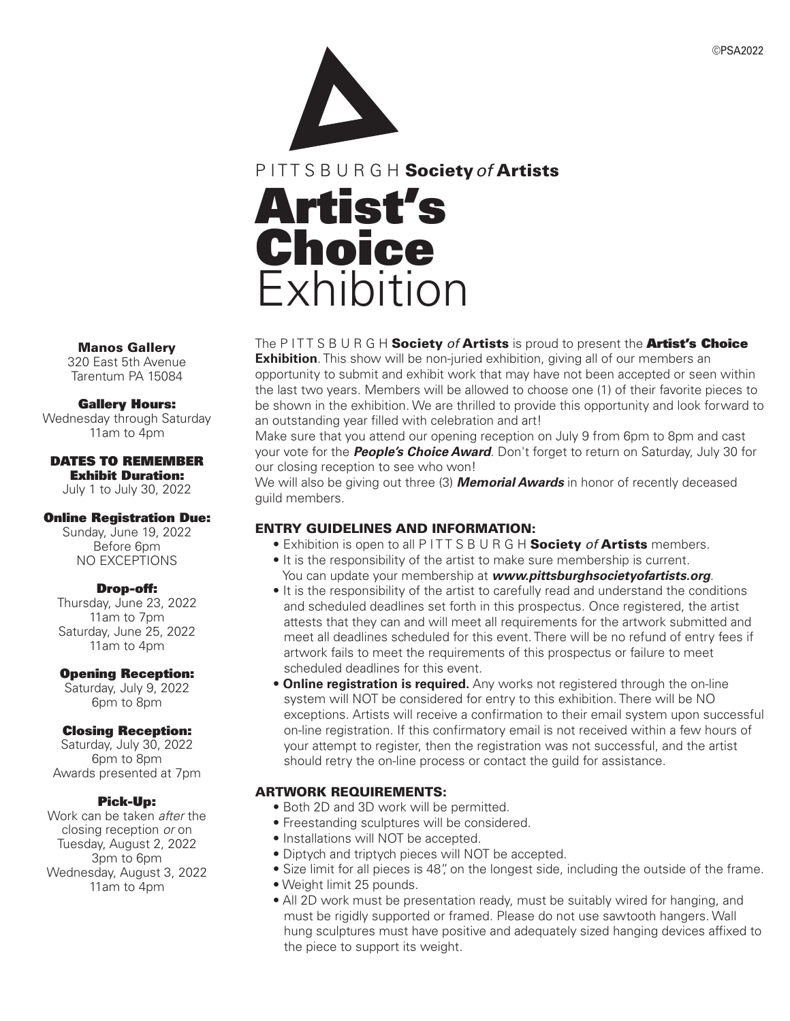©PSA2022



P I T T S B U R G H Society*of* Artists

# Artist's **Choice Exhibition**

# The P I T T S B U R G H Society *of* Artists is proud to present the Artist's Choice

**Exhibition**. This show will be non-juried exhibition, giving all of our members an opportunity to submit and exhibit work that may have not been accepted or seen within the last two years. Members will be allowed to choose one (1) of their favorite pieces to be shown in the exhibition. We are thrilled to provide this opportunity and look forward to an outstanding year filled with celebration and art!

Make sure that you attend our opening reception on July 9 from 6pm to 8pm and cast your vote for the *People's Choice Award*. Don't forget to return on Saturday, July 30 for our closing reception to see who won!

We will also be giving out three (3) *Memorial Awards* in honor of recently deceased guild members.

# ENTRY GUIDELINES AND INFORMATION:

• Exhibition is open to all P I T T S B U R G H Society *of* Artists members.

- It is the responsibility of the artist to make sure membership is current. You can update your membership at *www.pittsburghsocietyofartists.org*.
- It is the responsibility of the artist to carefully read and understand the conditions and scheduled deadlines set forth in this prospectus. Once registered, the artist attests that they can and will meet all requirements for the artwork submitted and meet all deadlines scheduled for this event. There will be no refund of entry fees if artwork fails to meet the requirements of this prospectus or failure to meet scheduled deadlines for this event.
- **Online registration is required.** Any works not registered through the on-line system will NOT be considered for entry to this exhibition. There will be NO exceptions. Artists will receive a confirmation to their email system upon successful on-line registration. If this confirmatory email is not received within a few hours of your attempt to register, then the registration was not successful, and the artist should retry the on-line process or contact the guild for assistance.

# ARTWORK REQUIREMENTS:

- Both 2D and 3D work will be permitted.
- Freestanding sculptures will be considered.
- Installations will NOT be accepted.
- Diptych and triptych pieces will NOT be accepted.
- Size limit for all pieces is 48", on the longest side, including the outside of the frame.
- Weight limit 25 pounds.
- All 2D work must be presentation ready, must be suitably wired for hanging, and must be rigidly supported or framed. Please do not use sawtooth hangers. Wall hung sculptures must have positive and adequately sized hanging devices affixed to the piece to support its weight.

Manos Gallery

320 East 5th Avenue Tarentum PA 15084

### Gallery Hours:

Wednesday through Saturday 11am to 4pm

#### DATES TO REMEMBER Exhibit Duration:

July 1 to July 30, 2022

## Online Registration Due:

Sunday, June 19, 2022 Before 6pm NO EXCEPTIONS

# Drop-off:

Thursday, June 23, 2022 11am to 7pm Saturday, June 25, 2022 11am to 4pm

### Opening Reception:

Saturday, July 9, 2022 6pm to 8pm

# Closing Reception:

Saturday, July 30, 2022 6pm to 8pm Awards presented at 7pm

### Pick-Up:

Work can be taken *after* the closing reception *or* on Tuesday, August 2, 2022 3pm to 6pm Wednesday, August 3, 2022 11am to 4pm